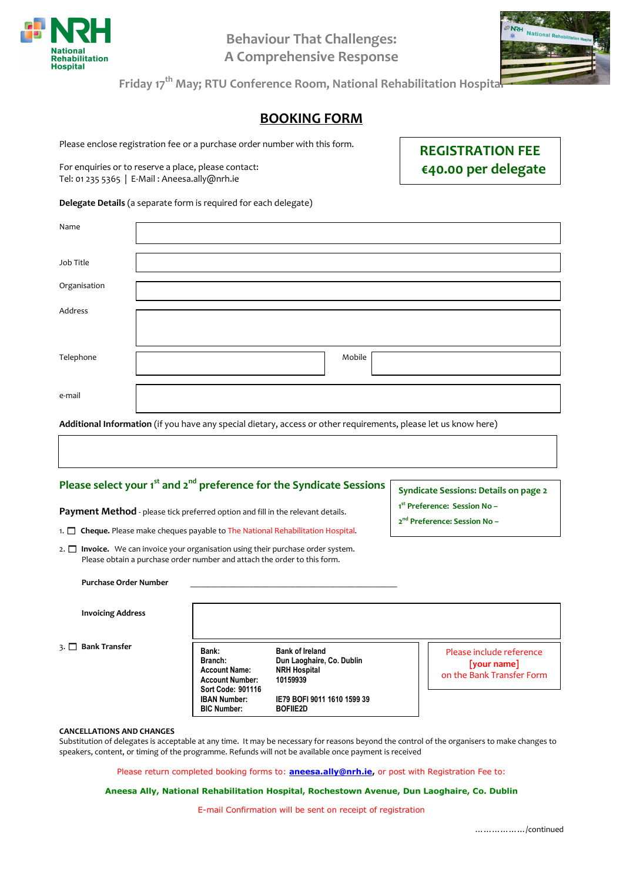

**Behaviour That Challenges: A Comprehensive Response** 



**Friday 17th May; RTU Conference Room, National Rehabilitation Hospital** 

## **BOOKING FORM**

Please enclose registration fee or a purchase order number with this form.

For enquiries or to reserve a place, please contact: Tel: 01 235 5365 | E-Mail : Aneesa.ally@nrh.ie

**REGISTRATION FEE €40.00 per delegate** 

**Delegate Details** (a separate form is required for each delegate)

| Name         |                                                                                                                                                   |
|--------------|---------------------------------------------------------------------------------------------------------------------------------------------------|
|              |                                                                                                                                                   |
|              |                                                                                                                                                   |
| Job Title    |                                                                                                                                                   |
|              |                                                                                                                                                   |
|              |                                                                                                                                                   |
| Organisation |                                                                                                                                                   |
|              |                                                                                                                                                   |
| Address      |                                                                                                                                                   |
|              |                                                                                                                                                   |
|              |                                                                                                                                                   |
|              |                                                                                                                                                   |
|              |                                                                                                                                                   |
| Telephone    | Mobile                                                                                                                                            |
|              |                                                                                                                                                   |
|              |                                                                                                                                                   |
| e-mail       |                                                                                                                                                   |
|              |                                                                                                                                                   |
|              |                                                                                                                                                   |
|              | $\lambda$ different to familiar than (the contract of a set of distance of a second contract the contract of a set of a set of a set of $\lambda$ |

**Additional Information** (if you have any special dietary, access or other requirements, please let us know here)

## **Please select your 1st and 2nd preference for the Syndicate Sessions**

**Payment Method** - please tick preferred option and fill in the relevant details.

1.  $\Box$  **Cheque.** Please make cheques payable to The National Rehabilitation Hospital.

2. **□ Invoice.** We can invoice your organisation using their purchase order system. Please obtain a purchase order number and attach the order to this form.

**Syndicate Sessions: Details on page 2** 

**1 st Preference: Session No –** 

**2 nd Preference: Session No –** 

| Purchase Order Number |  |
|-----------------------|--|
|                       |  |

**Invoicing Address** 

3. **Bank Transfer**

| Bank:               | <b>Bank of Ireland</b>      |
|---------------------|-----------------------------|
| Branch:             | Dun Laoghaire, Co. Dublin   |
| Account Name:       | <b>NRH Hospital</b>         |
| Account Number:     | 10159939                    |
| Sort Code: 901116   |                             |
| <b>IBAN Number:</b> | IE79 BOFI 9011 1610 1599 39 |
| <b>BIC Number:</b>  | <b>BOFIIE2D</b>             |
|                     |                             |

Please include reference **[your name]**  on the Bank Transfer Form

## **CANCELLATIONS AND CHANGES**

Substitution of delegates is acceptable at any time. It may be necessary for reasons beyond the control of the organisers to make changes to speakers, content, or timing of the programme. Refunds will not be available once payment is received

Please return completed booking forms to: **aneesa.ally@nrh.ie,** or post with Registration Fee to:

## **Aneesa Ally, National Rehabilitation Hospital, Rochestown Avenue, Dun Laoghaire, Co. Dublin**

E-mail Confirmation will be sent on receipt of registration